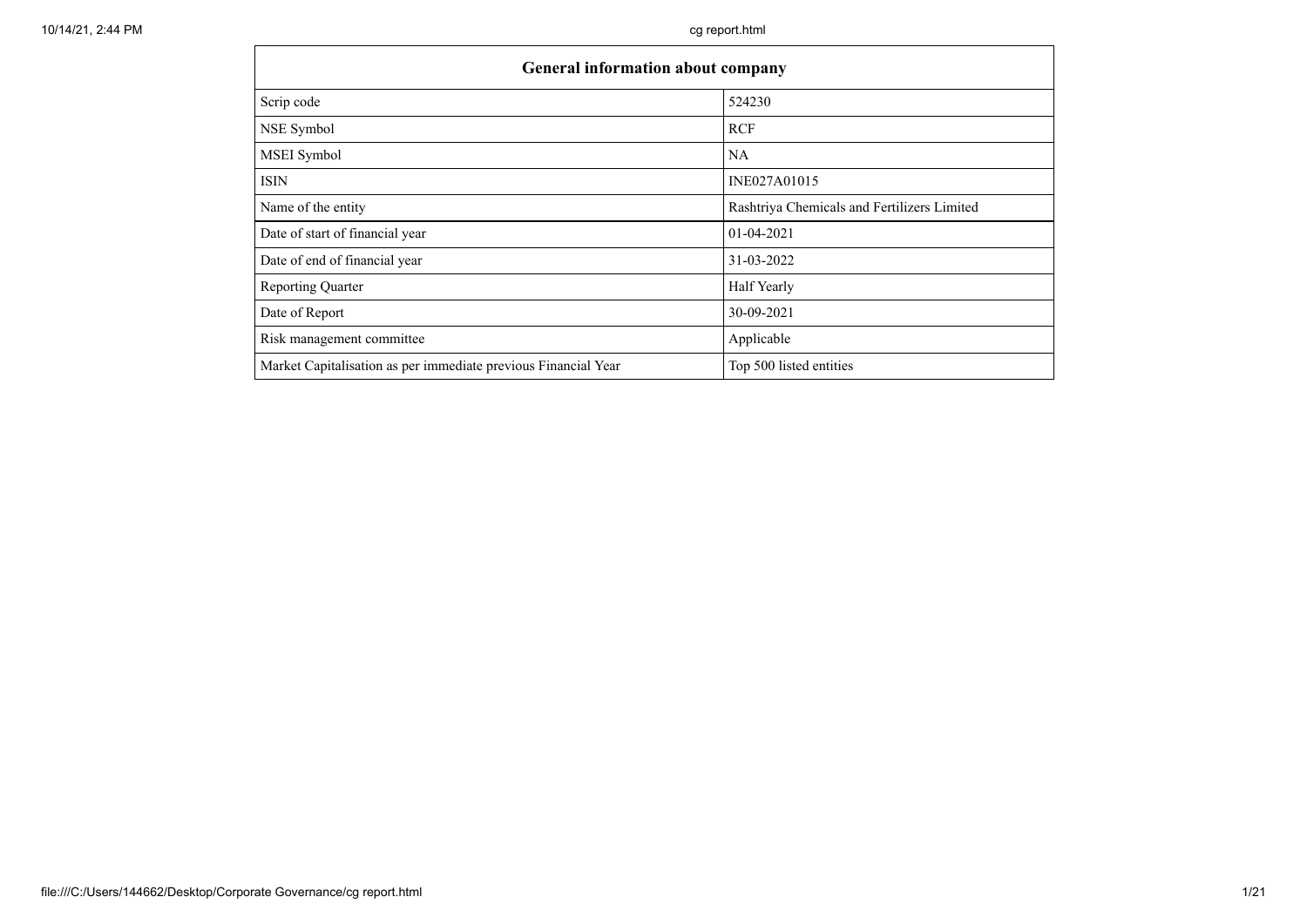| General information about company                              |                                             |  |  |  |  |  |  |  |
|----------------------------------------------------------------|---------------------------------------------|--|--|--|--|--|--|--|
| Scrip code                                                     | 524230                                      |  |  |  |  |  |  |  |
| NSE Symbol                                                     | <b>RCF</b>                                  |  |  |  |  |  |  |  |
| <b>MSEI</b> Symbol                                             | <b>NA</b>                                   |  |  |  |  |  |  |  |
| <b>ISIN</b>                                                    | INE027A01015                                |  |  |  |  |  |  |  |
| Name of the entity                                             | Rashtriya Chemicals and Fertilizers Limited |  |  |  |  |  |  |  |
| Date of start of financial year                                | 01-04-2021                                  |  |  |  |  |  |  |  |
| Date of end of financial year                                  | 31-03-2022                                  |  |  |  |  |  |  |  |
| <b>Reporting Quarter</b>                                       | Half Yearly                                 |  |  |  |  |  |  |  |
| Date of Report                                                 | 30-09-2021                                  |  |  |  |  |  |  |  |
| Risk management committee                                      | Applicable                                  |  |  |  |  |  |  |  |
| Market Capitalisation as per immediate previous Financial Year | Top 500 listed entities                     |  |  |  |  |  |  |  |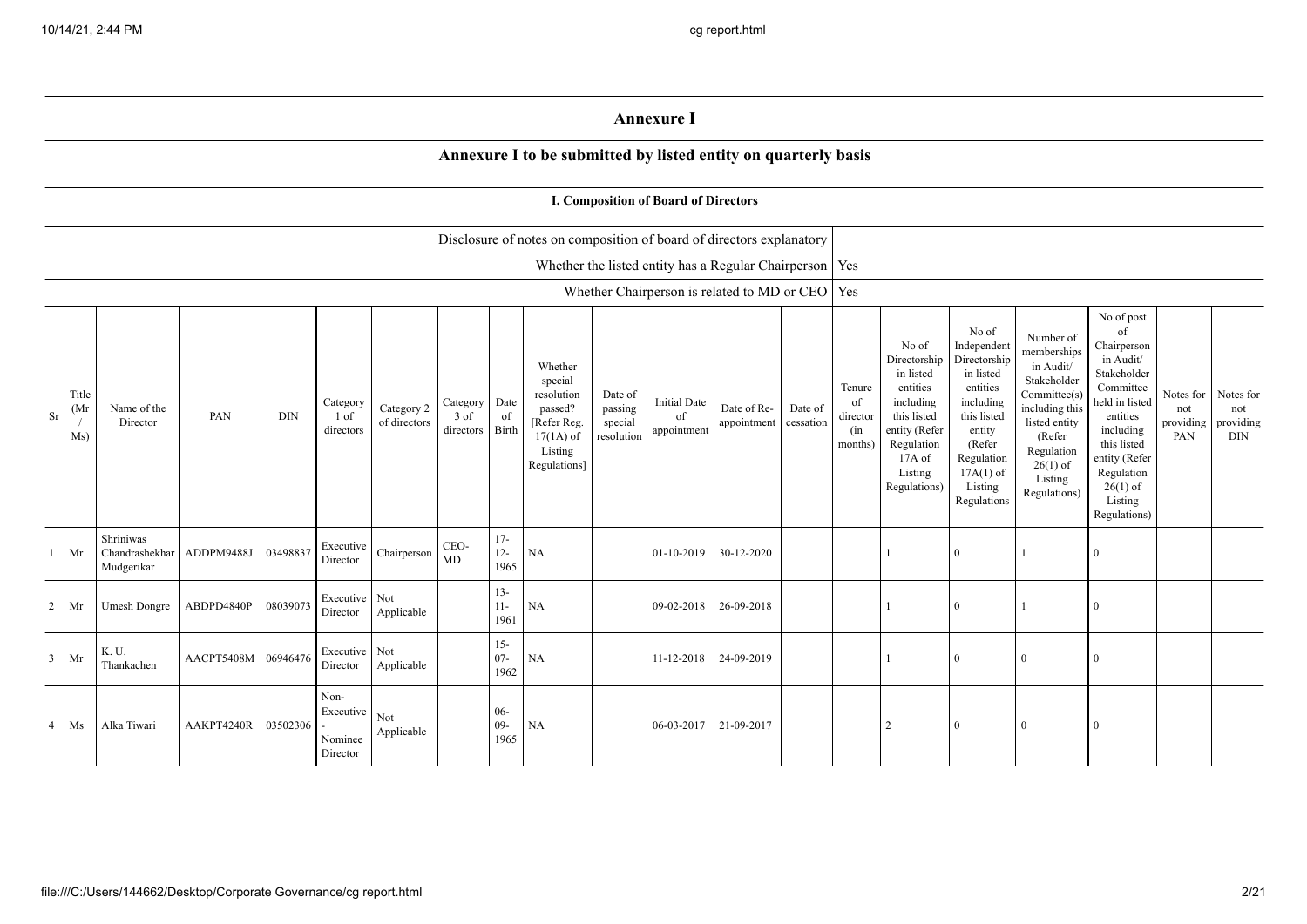## **Annexure I**

## **Annexure I to be submitted by listed entity on quarterly basis**

|                |                     |                                           |                     |            |                                          |                            |                                 |                          |                                                                                                      |                                             | I. Composition of Board of Directors     |                                                           |                      |                                            |                                                                                                                                                |                                                                                                                                                                      |                                                                                                                                                                          |                                                                                                                                                                                                            |                                      |                                             |
|----------------|---------------------|-------------------------------------------|---------------------|------------|------------------------------------------|----------------------------|---------------------------------|--------------------------|------------------------------------------------------------------------------------------------------|---------------------------------------------|------------------------------------------|-----------------------------------------------------------|----------------------|--------------------------------------------|------------------------------------------------------------------------------------------------------------------------------------------------|----------------------------------------------------------------------------------------------------------------------------------------------------------------------|--------------------------------------------------------------------------------------------------------------------------------------------------------------------------|------------------------------------------------------------------------------------------------------------------------------------------------------------------------------------------------------------|--------------------------------------|---------------------------------------------|
|                |                     |                                           |                     |            |                                          |                            |                                 |                          | Disclosure of notes on composition of board of directors explanatory                                 |                                             |                                          |                                                           |                      |                                            |                                                                                                                                                |                                                                                                                                                                      |                                                                                                                                                                          |                                                                                                                                                                                                            |                                      |                                             |
|                |                     |                                           |                     |            |                                          |                            |                                 |                          |                                                                                                      |                                             |                                          | Whether the listed entity has a Regular Chairperson   Yes |                      |                                            |                                                                                                                                                |                                                                                                                                                                      |                                                                                                                                                                          |                                                                                                                                                                                                            |                                      |                                             |
|                |                     |                                           |                     |            |                                          |                            |                                 |                          |                                                                                                      |                                             |                                          | Whether Chairperson is related to MD or CEO   Yes         |                      |                                            |                                                                                                                                                |                                                                                                                                                                      |                                                                                                                                                                          |                                                                                                                                                                                                            |                                      |                                             |
| Sr             | Title<br>(Mr<br>Ms) | Name of the<br>Director                   | PAN                 | <b>DIN</b> | Category<br>1 of<br>directors            | Category 2<br>of directors | Category<br>$3$ of<br>directors | Date<br>of<br>Birth      | Whether<br>special<br>resolution<br>passed?<br>[Refer Reg.<br>$17(1A)$ of<br>Listing<br>Regulations] | Date of<br>passing<br>special<br>resolution | <b>Initial Date</b><br>of<br>appointment | Date of Re-<br>appointment                                | Date of<br>cessation | Tenure<br>of<br>director<br>(in<br>months) | No of<br>Directorship<br>in listed<br>entities<br>including<br>this listed<br>entity (Refer<br>Regulation<br>17A of<br>Listing<br>Regulations) | No of<br>Independent<br>Directorship<br>in listed<br>entities<br>including<br>this listed<br>entity<br>(Refer<br>Regulation<br>$17A(1)$ of<br>Listing<br>Regulations | Number of<br>memberships<br>in Audit/<br>Stakeholder<br>Committee(s)<br>including this<br>listed entity<br>(Refer<br>Regulation<br>$26(1)$ of<br>Listing<br>Regulations) | No of post<br>of<br>Chairperson<br>in Audit/<br>Stakeholder<br>Committee<br>held in listed<br>entities<br>including<br>this listed<br>entity (Refer<br>Regulation<br>$26(1)$ of<br>Listing<br>Regulations) | Notes for<br>not<br>providing<br>PAN | Notes for<br>not<br>providing<br><b>DIN</b> |
| 1              | Mr                  | Shriniwas<br>Chandrashekhar<br>Mudgerikar | ADDPM9488J          | 03498837   | Executive<br>Director                    | Chairperson                | CEO-<br>MD                      | $17-$<br>$12 -$<br>1965  | NA                                                                                                   |                                             | 01-10-2019                               | 30-12-2020                                                |                      |                                            |                                                                                                                                                | $\theta$                                                                                                                                                             |                                                                                                                                                                          | $\Omega$                                                                                                                                                                                                   |                                      |                                             |
| $\overline{a}$ | Mr                  | <b>Umesh Dongre</b>                       | ABDPD4840P          | 08039073   | Executive Not<br>Director                | Applicable                 |                                 | $13 -$<br>$11 -$<br>1961 | NA                                                                                                   |                                             | 09-02-2018                               | 26-09-2018                                                |                      |                                            |                                                                                                                                                | $\Omega$                                                                                                                                                             |                                                                                                                                                                          | $\Omega$                                                                                                                                                                                                   |                                      |                                             |
| $\overline{3}$ | Mr                  | K. U.<br>Thankachen                       | AACPT5408M 06946476 |            | Executive Not<br>Director                | Applicable                 |                                 | $15 -$<br>$07 -$<br>1962 | NA                                                                                                   |                                             | 11-12-2018                               | 24-09-2019                                                |                      |                                            |                                                                                                                                                | $\theta$                                                                                                                                                             | $\overline{0}$                                                                                                                                                           | $\Omega$                                                                                                                                                                                                   |                                      |                                             |
| $\overline{4}$ | Ms                  | Alka Tiwari                               | AAKPT4240R          | 03502306   | Non-<br>Executive<br>Nominee<br>Director | Not<br>Applicable          |                                 | $06 -$<br>$09 -$<br>1965 | NA                                                                                                   |                                             | 06-03-2017                               | 21-09-2017                                                |                      |                                            | $\overline{2}$                                                                                                                                 | $\theta$                                                                                                                                                             | $\Omega$                                                                                                                                                                 | $\Omega$                                                                                                                                                                                                   |                                      |                                             |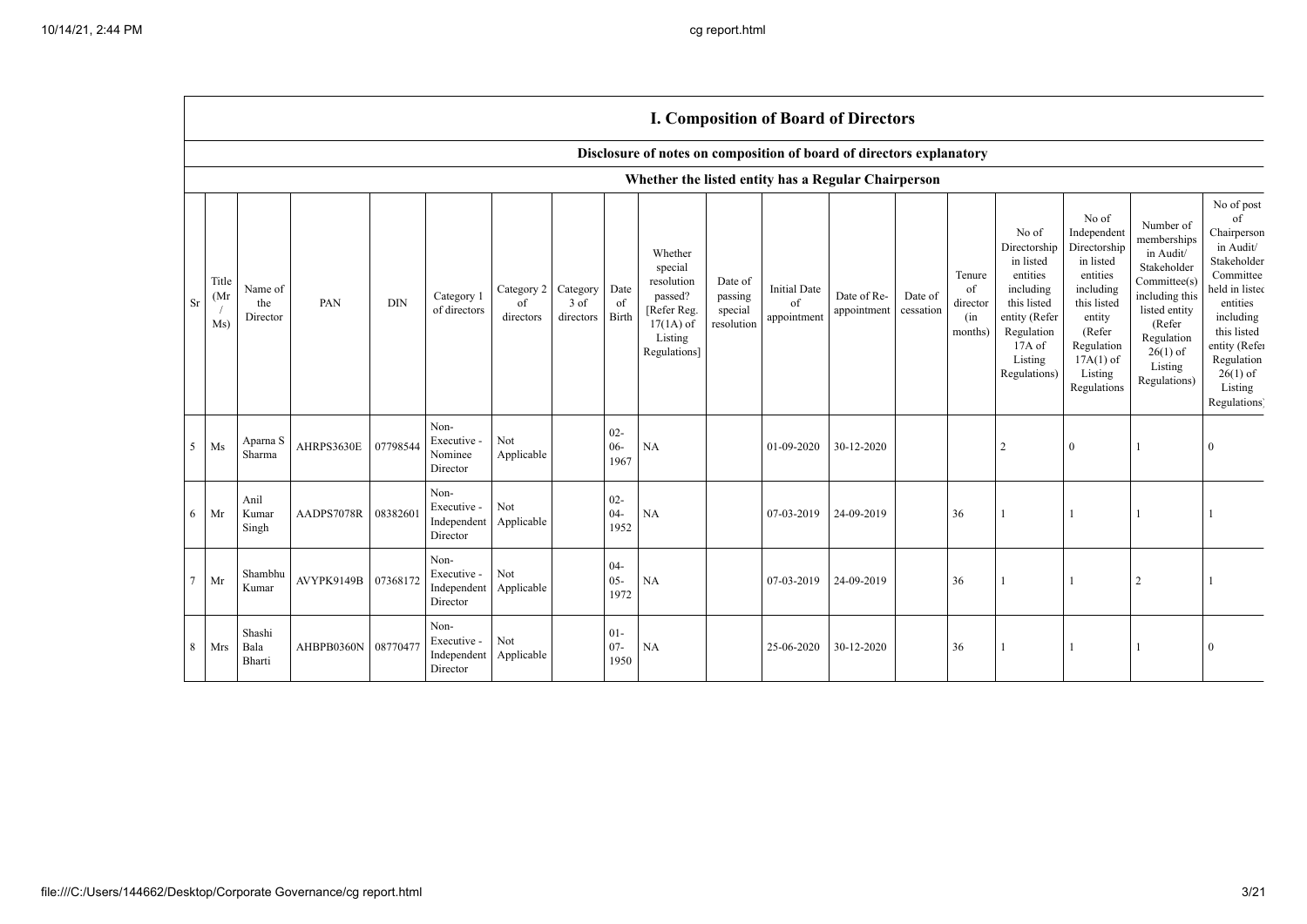Г

|                 |                      | <b>I. Composition of Board of Directors</b> |            |            |                                                |                                        |                     |                          |                                                                                                      |                                             |                                                                      |                            |                      |                                            |                                                                                                                                                  |                                                                                                                                                                      |                                                                                                                                                                          |                                                                                                                                                                                                            |
|-----------------|----------------------|---------------------------------------------|------------|------------|------------------------------------------------|----------------------------------------|---------------------|--------------------------|------------------------------------------------------------------------------------------------------|---------------------------------------------|----------------------------------------------------------------------|----------------------------|----------------------|--------------------------------------------|--------------------------------------------------------------------------------------------------------------------------------------------------|----------------------------------------------------------------------------------------------------------------------------------------------------------------------|--------------------------------------------------------------------------------------------------------------------------------------------------------------------------|------------------------------------------------------------------------------------------------------------------------------------------------------------------------------------------------------------|
|                 |                      |                                             |            |            |                                                |                                        |                     |                          |                                                                                                      |                                             | Disclosure of notes on composition of board of directors explanatory |                            |                      |                                            |                                                                                                                                                  |                                                                                                                                                                      |                                                                                                                                                                          |                                                                                                                                                                                                            |
|                 |                      |                                             |            |            |                                                |                                        |                     |                          |                                                                                                      |                                             | Whether the listed entity has a Regular Chairperson                  |                            |                      |                                            |                                                                                                                                                  |                                                                                                                                                                      |                                                                                                                                                                          |                                                                                                                                                                                                            |
| <b>Sr</b>       | Title<br>(Mr)<br>Ms) | Name of<br>the<br>Director                  | PAN        | <b>DIN</b> | Category 1<br>of directors                     | Category 2 Category<br>of<br>directors | $3$ of<br>directors | Date<br>of<br>Birth      | Whether<br>special<br>resolution<br>passed?<br>[Refer Reg.<br>$17(1A)$ of<br>Listing<br>Regulations] | Date of<br>passing<br>special<br>resolution | Initial Date<br>of<br>appointment                                    | Date of Re-<br>appointment | Date of<br>cessation | Tenure<br>of<br>director<br>(in<br>months) | No of<br>Directorship<br>in listed<br>entities<br>including<br>this listed<br>entity (Refer<br>Regulation<br>$17A$ of<br>Listing<br>Regulations) | No of<br>Independent<br>Directorship<br>in listed<br>entities<br>including<br>this listed<br>entity<br>(Refer<br>Regulation<br>$17A(1)$ of<br>Listing<br>Regulations | Number of<br>memberships<br>in Audit/<br>Stakeholder<br>Committee(s)<br>including this<br>listed entity<br>(Refer<br>Regulation<br>$26(1)$ of<br>Listing<br>Regulations) | No of post<br>of<br>Chairperson<br>in Audit/<br>Stakeholder<br>Committee<br>held in listed<br>entities<br>including<br>this listed<br>entity (Refer<br>Regulation<br>$26(1)$ of<br>Listing<br>Regulations) |
| 5 <sup>5</sup>  | Ms                   | Aparna S<br>Sharma                          | AHRPS3630E | 07798544   | Non-<br>Executive -<br>Nominee<br>Director     | Not<br>Applicable                      |                     | $02 -$<br>$06 -$<br>1967 | <b>NA</b>                                                                                            |                                             | 01-09-2020                                                           | 30-12-2020                 |                      |                                            | $\overline{2}$                                                                                                                                   | $\mathbf{0}$                                                                                                                                                         |                                                                                                                                                                          | $\Omega$                                                                                                                                                                                                   |
| 6               | Mr                   | Anil<br>Kumar<br>Singh                      | AADPS7078R | 08382601   | Non-<br>Executive -<br>Independent<br>Director | Not<br>Applicable                      |                     | $02 -$<br>$04 -$<br>1952 | <b>NA</b>                                                                                            |                                             | 07-03-2019                                                           | 24-09-2019                 |                      | 36                                         |                                                                                                                                                  |                                                                                                                                                                      |                                                                                                                                                                          |                                                                                                                                                                                                            |
| $7\overline{ }$ | Mr                   | Shambhu<br>Kumar                            | AVYPK9149B | 07368172   | Non-<br>Executive -<br>Independent<br>Director | Not<br>Applicable                      |                     | $04-$<br>$05 -$<br>1972  | <b>NA</b>                                                                                            |                                             | 07-03-2019                                                           | 24-09-2019                 |                      | 36                                         |                                                                                                                                                  |                                                                                                                                                                      | $\overline{2}$                                                                                                                                                           |                                                                                                                                                                                                            |
| 8               | Mrs                  | Shashi<br>Bala<br>Bharti                    | AHBPB0360N | 08770477   | Non-<br>Executive -<br>Independent<br>Director | Not<br>Applicable                      |                     | $01-$<br>$07 -$<br>1950  | <b>NA</b>                                                                                            |                                             | 25-06-2020                                                           | 30-12-2020                 |                      | 36                                         |                                                                                                                                                  |                                                                                                                                                                      |                                                                                                                                                                          |                                                                                                                                                                                                            |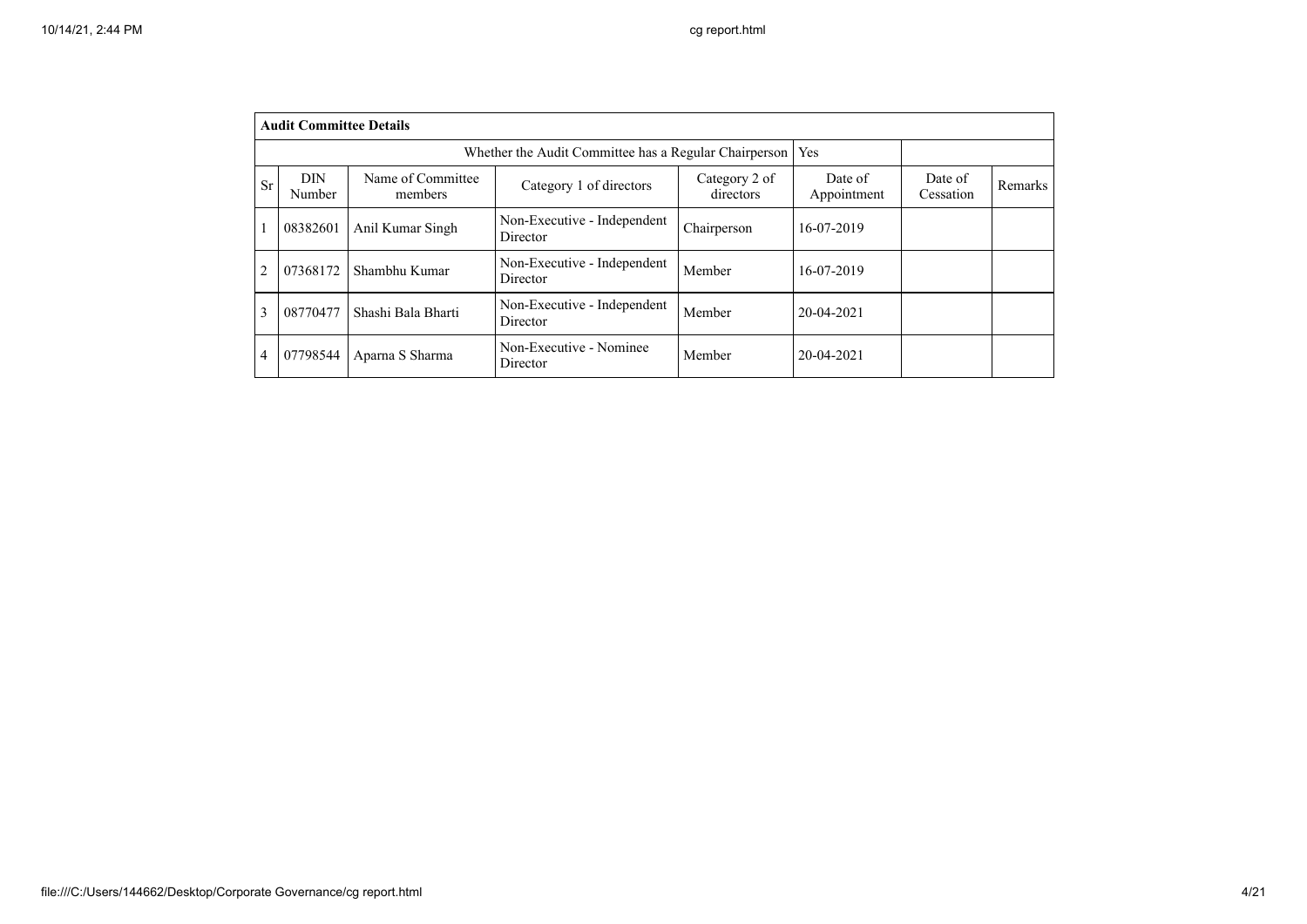|                | <b>Audit Committee Details</b> |                              |                                                       |                            |                        |                      |         |
|----------------|--------------------------------|------------------------------|-------------------------------------------------------|----------------------------|------------------------|----------------------|---------|
|                |                                |                              | Whether the Audit Committee has a Regular Chairperson |                            | Yes                    |                      |         |
| Sr             | <b>DIN</b><br>Number           | Name of Committee<br>members | Category 1 of directors                               | Category 2 of<br>directors | Date of<br>Appointment | Date of<br>Cessation | Remarks |
|                | 08382601                       | Anil Kumar Singh             | Non-Executive - Independent<br>Director               | Chairperson                | 16-07-2019             |                      |         |
| $\overline{2}$ | 07368172                       | Shambhu Kumar                | Non-Executive - Independent<br>Director               | Member                     | 16-07-2019             |                      |         |
| 3              | 08770477                       | Shashi Bala Bharti           | Non-Executive - Independent<br>Director               | Member                     | 20-04-2021             |                      |         |
| $\overline{4}$ | 07798544                       | Aparna S Sharma              | Non-Executive - Nominee<br>Director                   | Member                     | 20-04-2021             |                      |         |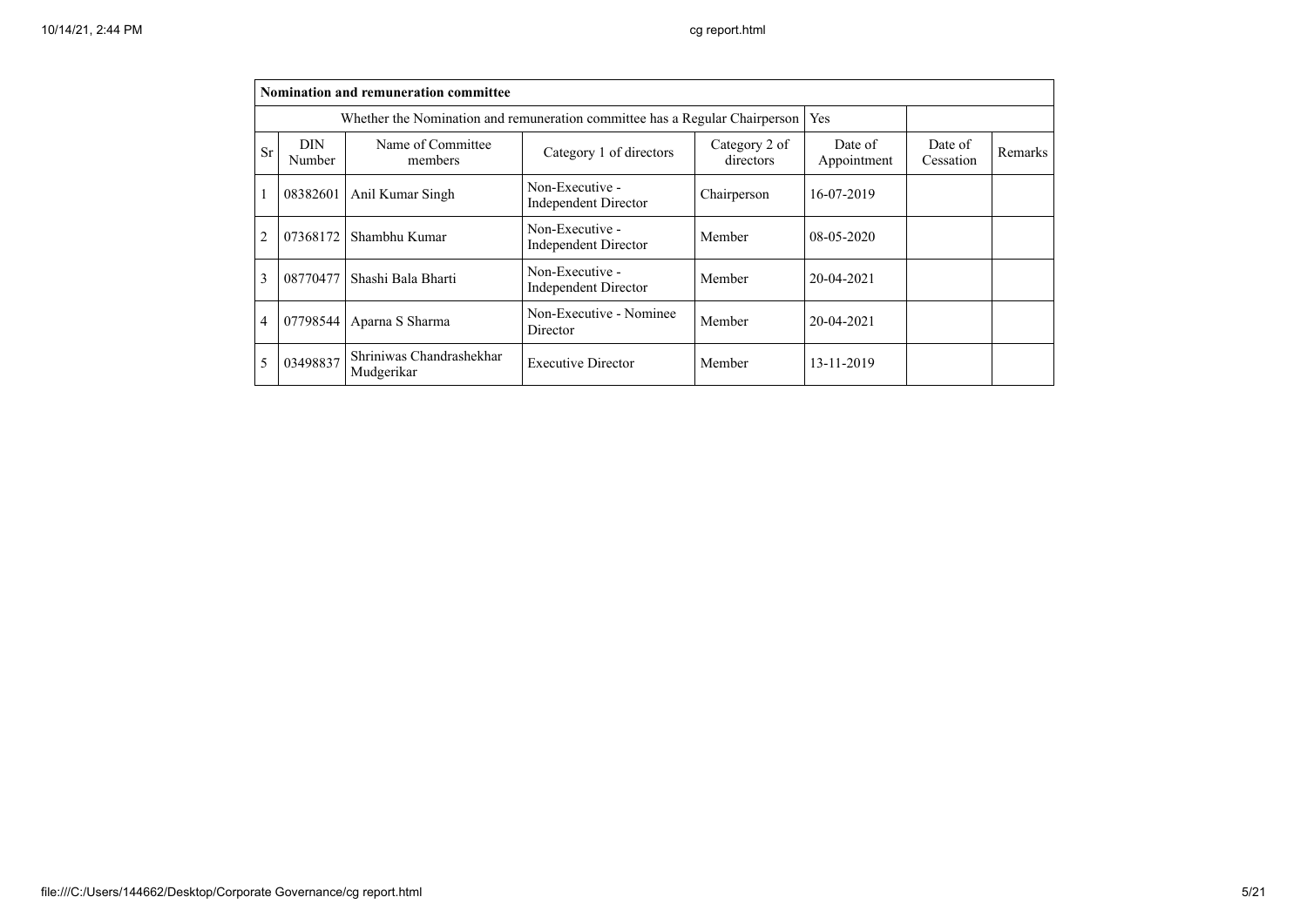|                |                      | Nomination and remuneration committee                                       |                                                |                            |                        |                      |         |
|----------------|----------------------|-----------------------------------------------------------------------------|------------------------------------------------|----------------------------|------------------------|----------------------|---------|
|                |                      | Whether the Nomination and remuneration committee has a Regular Chairperson |                                                |                            | Yes                    |                      |         |
| <b>Sr</b>      | <b>DIN</b><br>Number | Name of Committee<br>members                                                | Category 1 of directors                        | Category 2 of<br>directors | Date of<br>Appointment | Date of<br>Cessation | Remarks |
|                | 08382601             | Anil Kumar Singh                                                            | Non-Executive -<br><b>Independent Director</b> | Chairperson                | 16-07-2019             |                      |         |
| $\overline{2}$ | 07368172             | Shambhu Kumar                                                               | Non-Executive -<br><b>Independent Director</b> | Member                     | $08-05-2020$           |                      |         |
| 3              | 08770477             | Shashi Bala Bharti                                                          | Non-Executive -<br><b>Independent Director</b> | Member                     | $20 - 04 - 2021$       |                      |         |
| 4              | 07798544             | Aparna S Sharma                                                             | Non-Executive - Nominee<br>Director            | Member                     | $20 - 04 - 2021$       |                      |         |
| 5              | 03498837             | Shriniwas Chandrashekhar<br>Mudgerikar                                      | <b>Executive Director</b>                      | Member                     | 13-11-2019             |                      |         |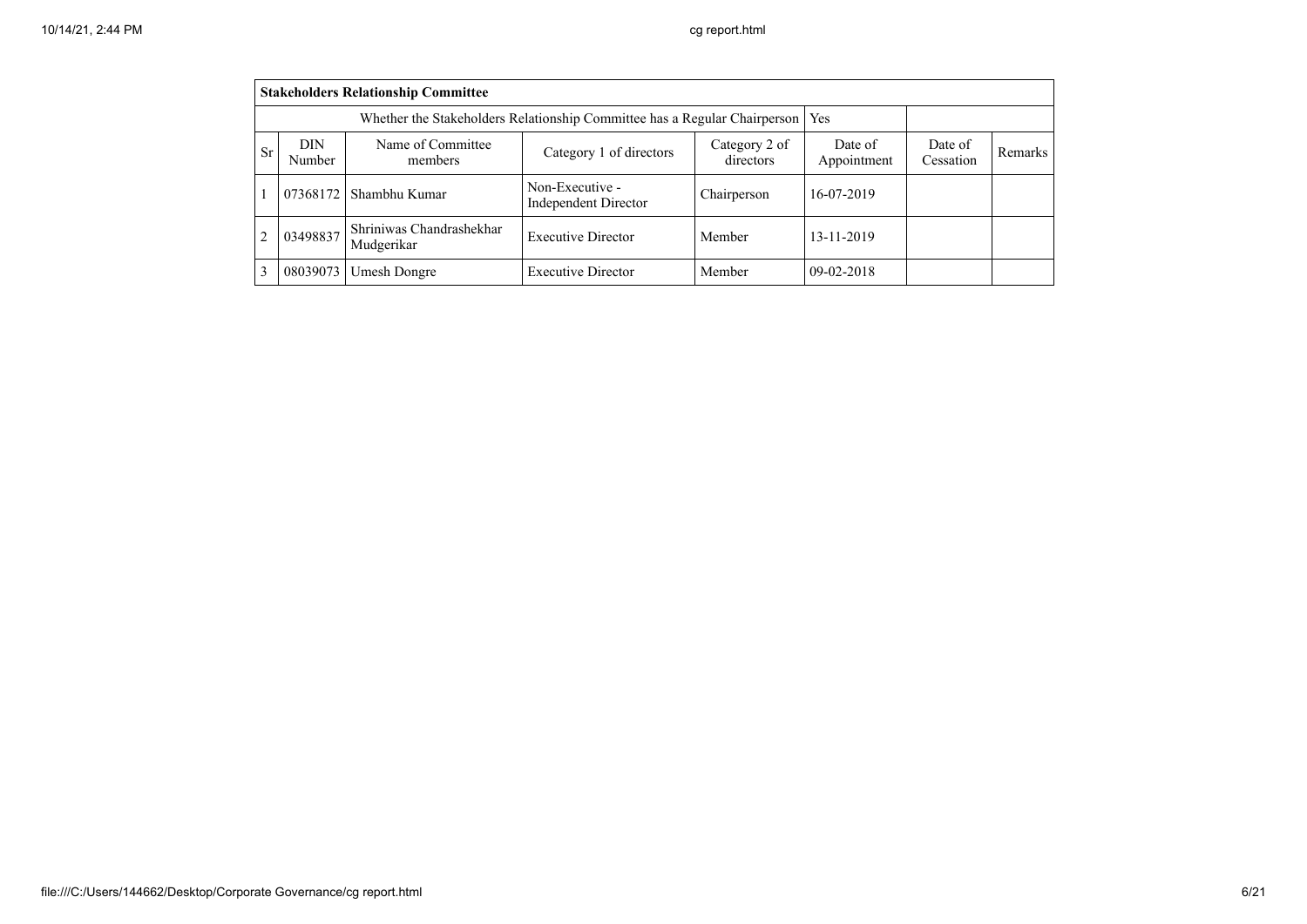|                                                                                                                                                                       | <b>Stakeholders Relationship Committee</b>                                      |                                        |                                                |             |              |  |  |  |  |  |  |  |
|-----------------------------------------------------------------------------------------------------------------------------------------------------------------------|---------------------------------------------------------------------------------|----------------------------------------|------------------------------------------------|-------------|--------------|--|--|--|--|--|--|--|
|                                                                                                                                                                       | Whether the Stakeholders Relationship Committee has a Regular Chairperson   Yes |                                        |                                                |             |              |  |  |  |  |  |  |  |
| Name of Committee<br>DIN<br>Category 2 of<br>Date of<br>Date of<br><b>Sr</b><br>Category 1 of directors<br>Appointment<br>Cessation<br>directors<br>Number<br>members |                                                                                 |                                        |                                                |             |              |  |  |  |  |  |  |  |
|                                                                                                                                                                       | 07368172                                                                        | Shambhu Kumar                          | Non-Executive -<br><b>Independent Director</b> | Chairperson | 16-07-2019   |  |  |  |  |  |  |  |
| 2                                                                                                                                                                     | 03498837                                                                        | Shriniwas Chandrashekhar<br>Mudgerikar | <b>Executive Director</b>                      | Member      | 13-11-2019   |  |  |  |  |  |  |  |
| 3                                                                                                                                                                     | 08039073                                                                        | Umesh Dongre                           | <b>Executive Director</b>                      | Member      | $09-02-2018$ |  |  |  |  |  |  |  |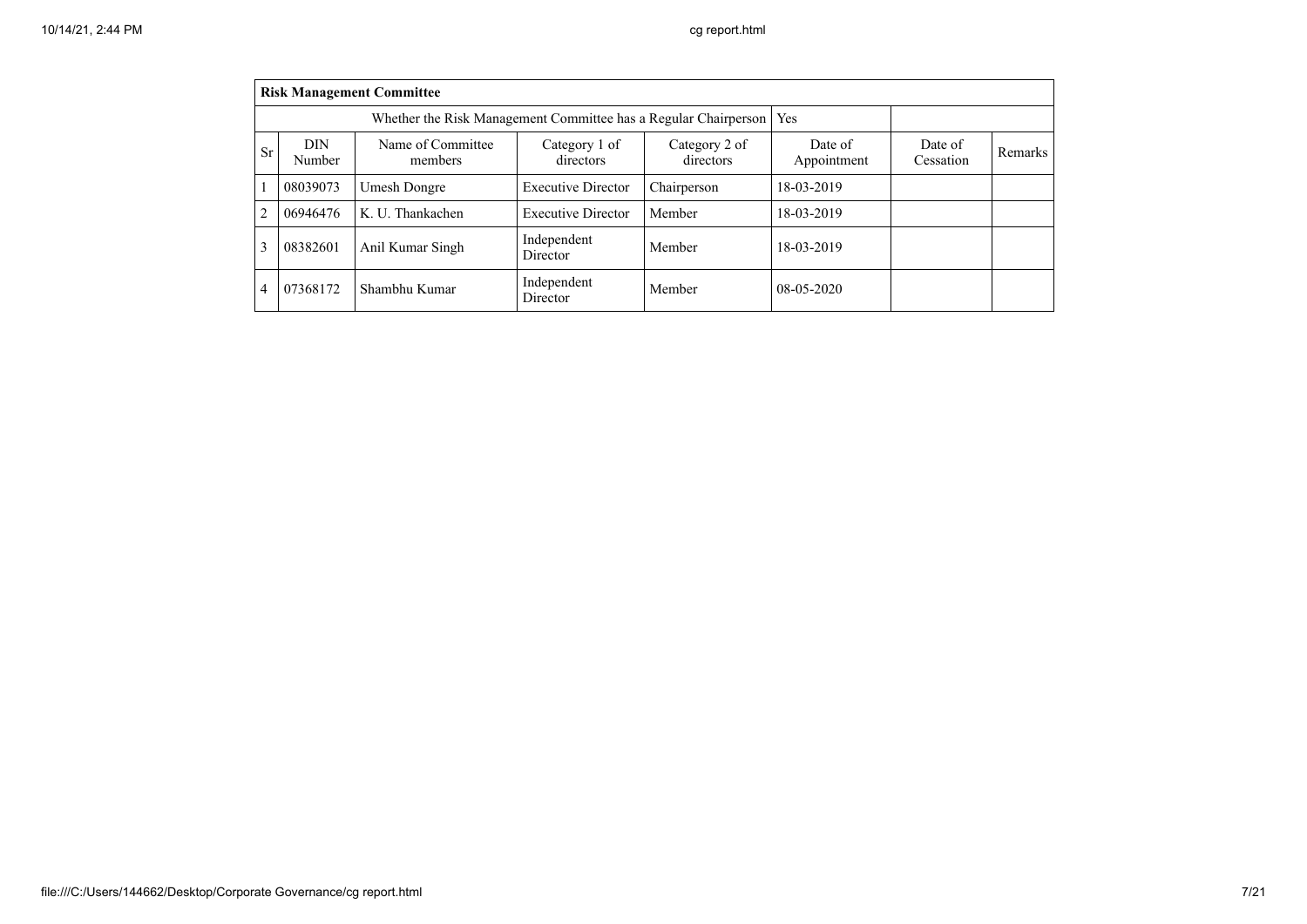|                |                      | <b>Risk Management Committee</b>                                      |                            |                            |                        |                      |         |
|----------------|----------------------|-----------------------------------------------------------------------|----------------------------|----------------------------|------------------------|----------------------|---------|
|                |                      | Whether the Risk Management Committee has a Regular Chairperson   Yes |                            |                            |                        |                      |         |
| <b>Sr</b>      | <b>DIN</b><br>Number | Name of Committee<br>members                                          | Category 1 of<br>directors | Category 2 of<br>directors | Date of<br>Appointment | Date of<br>Cessation | Remarks |
|                | 08039073             | Umesh Dongre                                                          | <b>Executive Director</b>  | Chairperson                | 18-03-2019             |                      |         |
| $\overline{2}$ | 06946476             | K. U. Thankachen                                                      | <b>Executive Director</b>  | Member                     | 18-03-2019             |                      |         |
| 3              | 08382601             | Anil Kumar Singh                                                      | Independent<br>Director    | Member                     | 18-03-2019             |                      |         |
| 4              | 07368172             | Shambhu Kumar                                                         | Independent<br>Director    | Member                     | $08-05-2020$           |                      |         |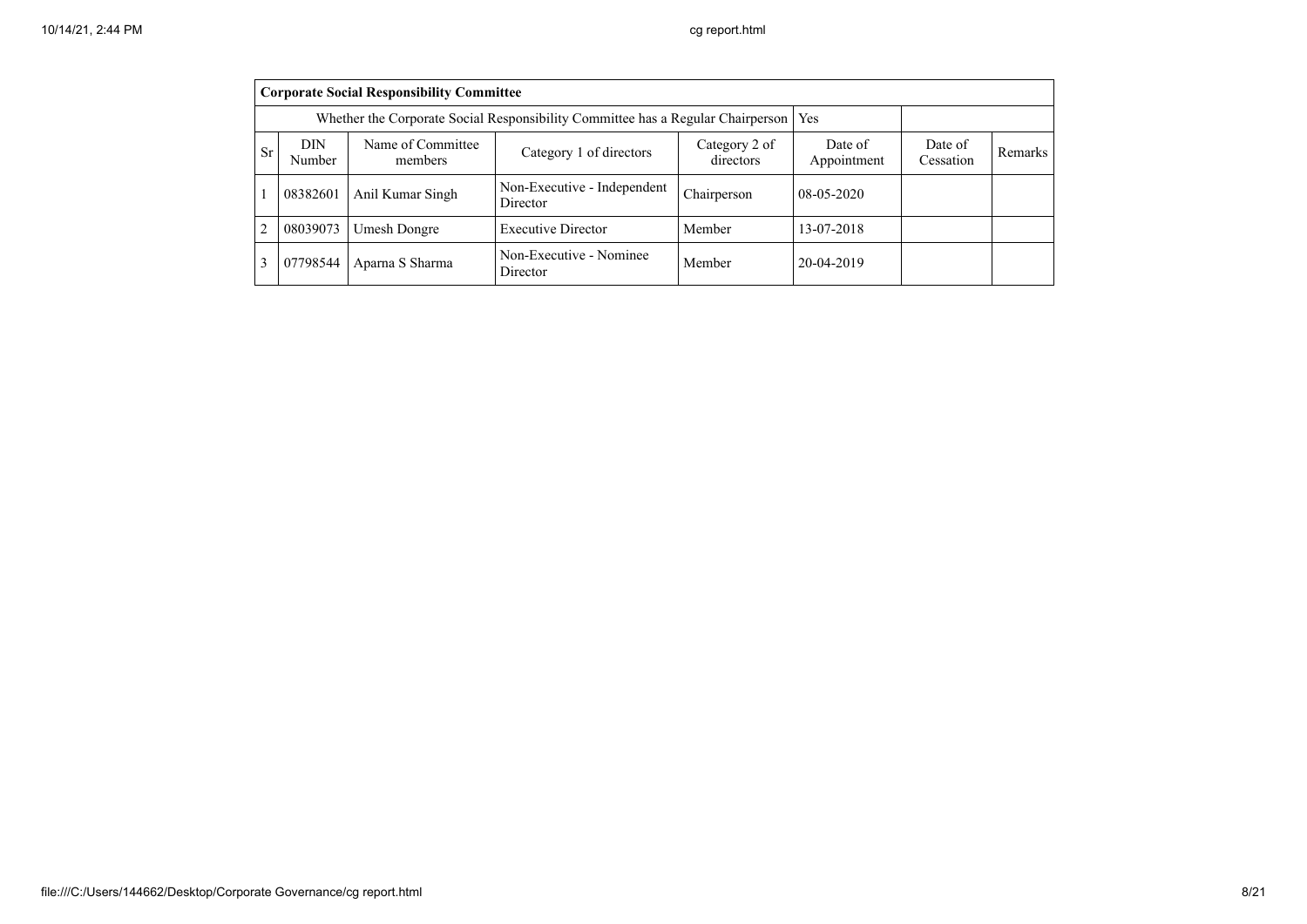|                                                                                                                                                                                  | <b>Corporate Social Responsibility Committee</b>                                |                  |                                         |             |              |  |  |  |  |  |  |  |
|----------------------------------------------------------------------------------------------------------------------------------------------------------------------------------|---------------------------------------------------------------------------------|------------------|-----------------------------------------|-------------|--------------|--|--|--|--|--|--|--|
|                                                                                                                                                                                  | Whether the Corporate Social Responsibility Committee has a Regular Chairperson |                  |                                         |             |              |  |  |  |  |  |  |  |
| Name of Committee<br><b>DIN</b><br>Date of<br>Category 2 of<br>Date of<br><sub>Sr</sub><br>Category 1 of directors<br>Appointment<br>directors<br>Cessation<br>Number<br>members |                                                                                 |                  |                                         |             |              |  |  |  |  |  |  |  |
|                                                                                                                                                                                  | 08382601                                                                        | Anil Kumar Singh | Non-Executive - Independent<br>Director | Chairperson | $08-05-2020$ |  |  |  |  |  |  |  |
| $\overline{2}$                                                                                                                                                                   | 08039073                                                                        | Umesh Dongre     | <b>Executive Director</b>               | Member      | 13-07-2018   |  |  |  |  |  |  |  |
| 3                                                                                                                                                                                | 07798544                                                                        | Aparna S Sharma  | Non-Executive - Nominee<br>Director     | Member      | 20-04-2019   |  |  |  |  |  |  |  |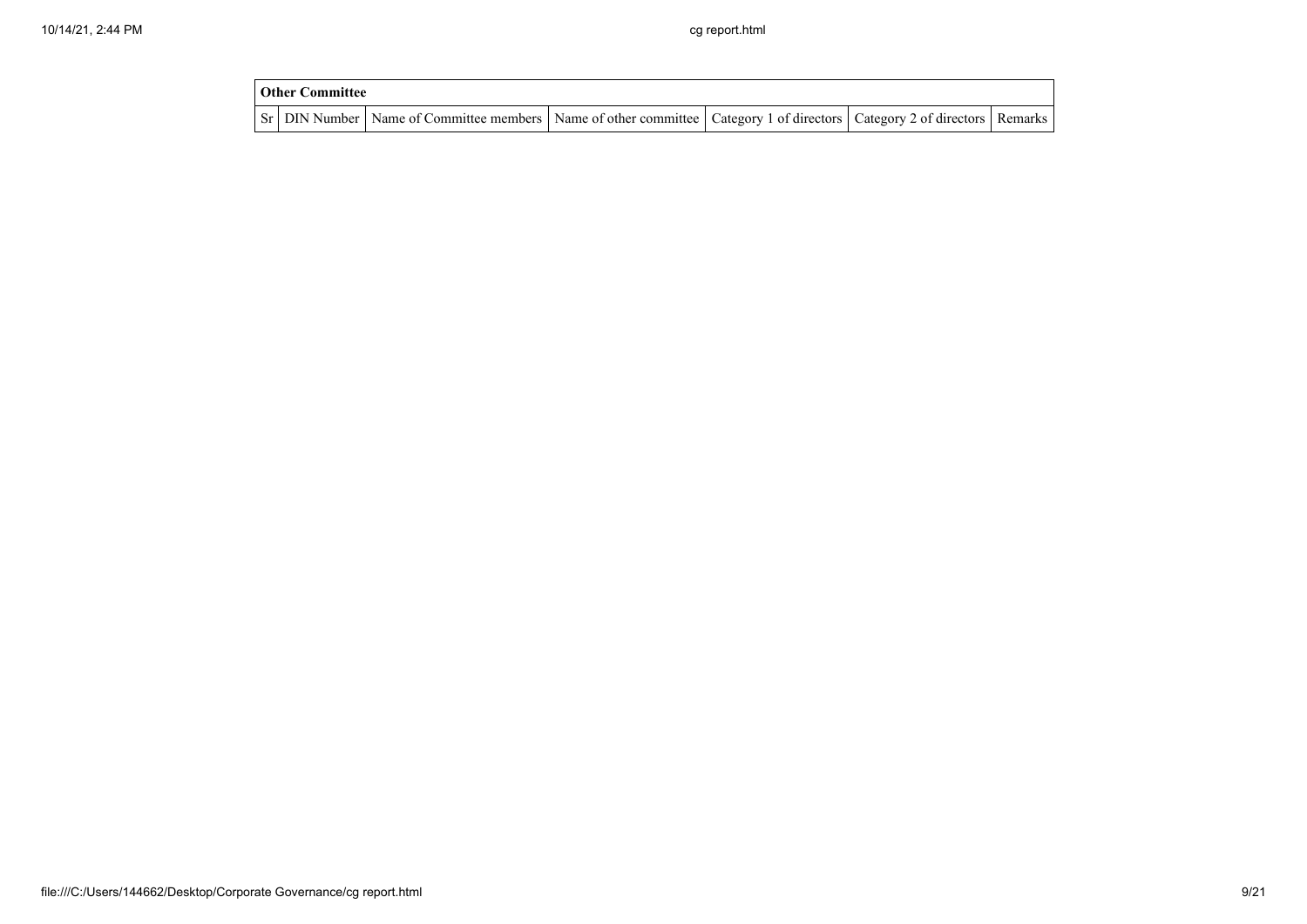| <b>Other Committee</b> |                                                                                                                                     |  |  |  |  |  |  |  |  |  |
|------------------------|-------------------------------------------------------------------------------------------------------------------------------------|--|--|--|--|--|--|--|--|--|
|                        | Sr   DIN Number   Name of Committee members   Name of other committee   Category 1 of directors   Category 2 of directors   Remarks |  |  |  |  |  |  |  |  |  |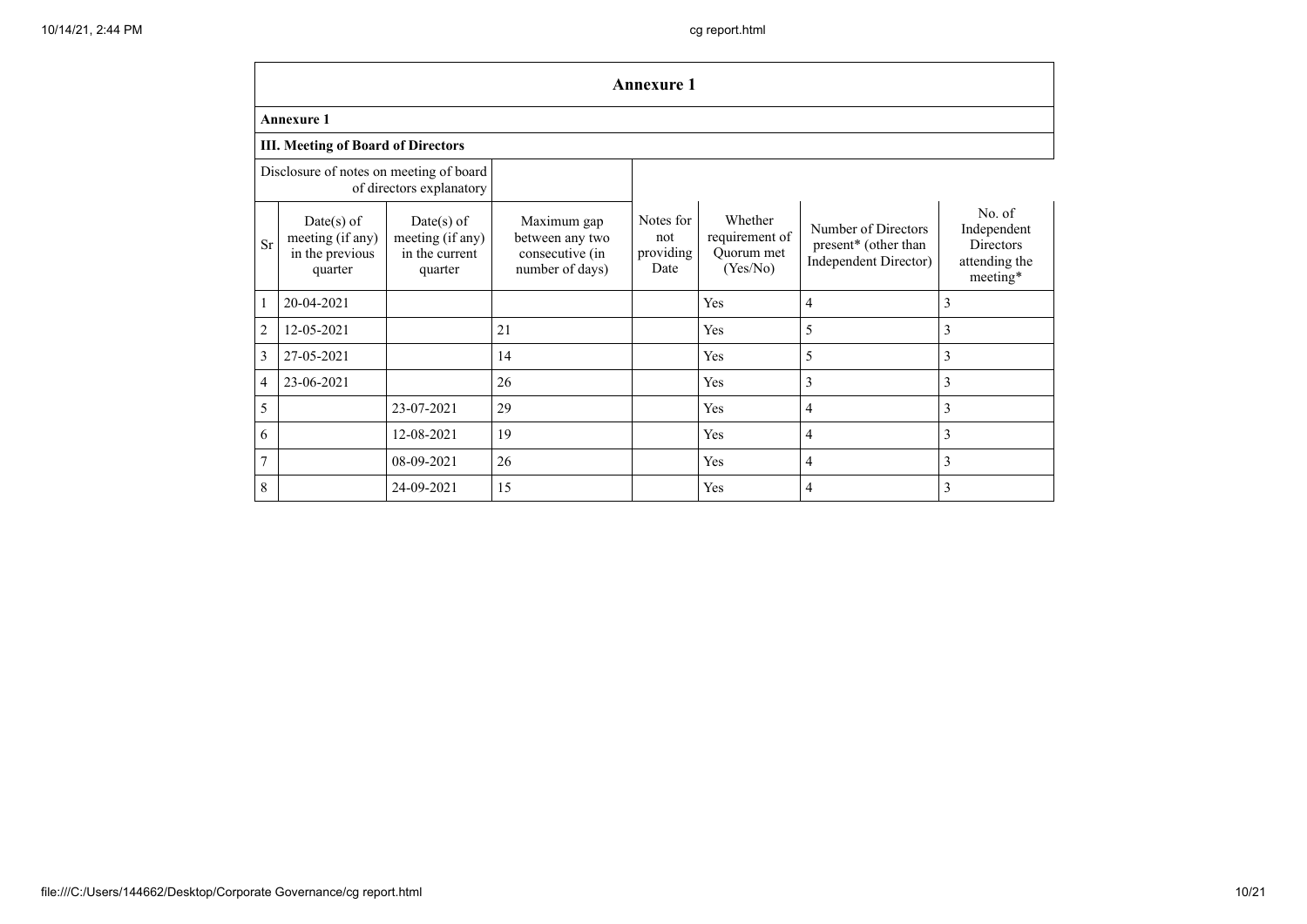|                | <b>Annexure 1</b>                                                   |                                                               |                                                                      |                                       |                                                     |                                                                      |                                                                 |  |  |  |  |  |  |  |
|----------------|---------------------------------------------------------------------|---------------------------------------------------------------|----------------------------------------------------------------------|---------------------------------------|-----------------------------------------------------|----------------------------------------------------------------------|-----------------------------------------------------------------|--|--|--|--|--|--|--|
|                | <b>Annexure 1</b>                                                   |                                                               |                                                                      |                                       |                                                     |                                                                      |                                                                 |  |  |  |  |  |  |  |
|                | <b>III. Meeting of Board of Directors</b>                           |                                                               |                                                                      |                                       |                                                     |                                                                      |                                                                 |  |  |  |  |  |  |  |
|                | Disclosure of notes on meeting of board<br>of directors explanatory |                                                               |                                                                      |                                       |                                                     |                                                                      |                                                                 |  |  |  |  |  |  |  |
| <b>Sr</b>      | $Date(s)$ of<br>meeting (if any)<br>in the previous<br>quarter      | $Date(s)$ of<br>meeting (if any)<br>in the current<br>quarter | Maximum gap<br>between any two<br>consecutive (in<br>number of days) | Notes for<br>not<br>providing<br>Date | Whether<br>requirement of<br>Ouorum met<br>(Yes/No) | Number of Directors<br>present* (other than<br>Independent Director) | No. of<br>Independent<br>Directors<br>attending the<br>meeting* |  |  |  |  |  |  |  |
| 1              | 20-04-2021                                                          |                                                               |                                                                      |                                       | Yes                                                 | $\overline{4}$                                                       | 3                                                               |  |  |  |  |  |  |  |
| $\overline{2}$ | 12-05-2021                                                          |                                                               | 21                                                                   |                                       | Yes                                                 | 5                                                                    | 3                                                               |  |  |  |  |  |  |  |
| 3              | 27-05-2021                                                          |                                                               | 14                                                                   |                                       | Yes                                                 | 5                                                                    | 3                                                               |  |  |  |  |  |  |  |
| $\overline{4}$ | 23-06-2021                                                          |                                                               | 26                                                                   |                                       | Yes                                                 | 3                                                                    | 3                                                               |  |  |  |  |  |  |  |
| 5              |                                                                     | 23-07-2021                                                    | 29                                                                   |                                       | Yes                                                 | $\overline{4}$                                                       | 3                                                               |  |  |  |  |  |  |  |
| 6              |                                                                     | 12-08-2021                                                    | 19                                                                   |                                       | Yes                                                 | $\overline{4}$                                                       | 3                                                               |  |  |  |  |  |  |  |
| $\overline{7}$ |                                                                     | 08-09-2021                                                    | 26                                                                   |                                       | Yes                                                 | $\overline{4}$                                                       | 3                                                               |  |  |  |  |  |  |  |
| 8              |                                                                     | 24-09-2021                                                    | 15                                                                   |                                       | Yes                                                 | $\overline{4}$                                                       | 3                                                               |  |  |  |  |  |  |  |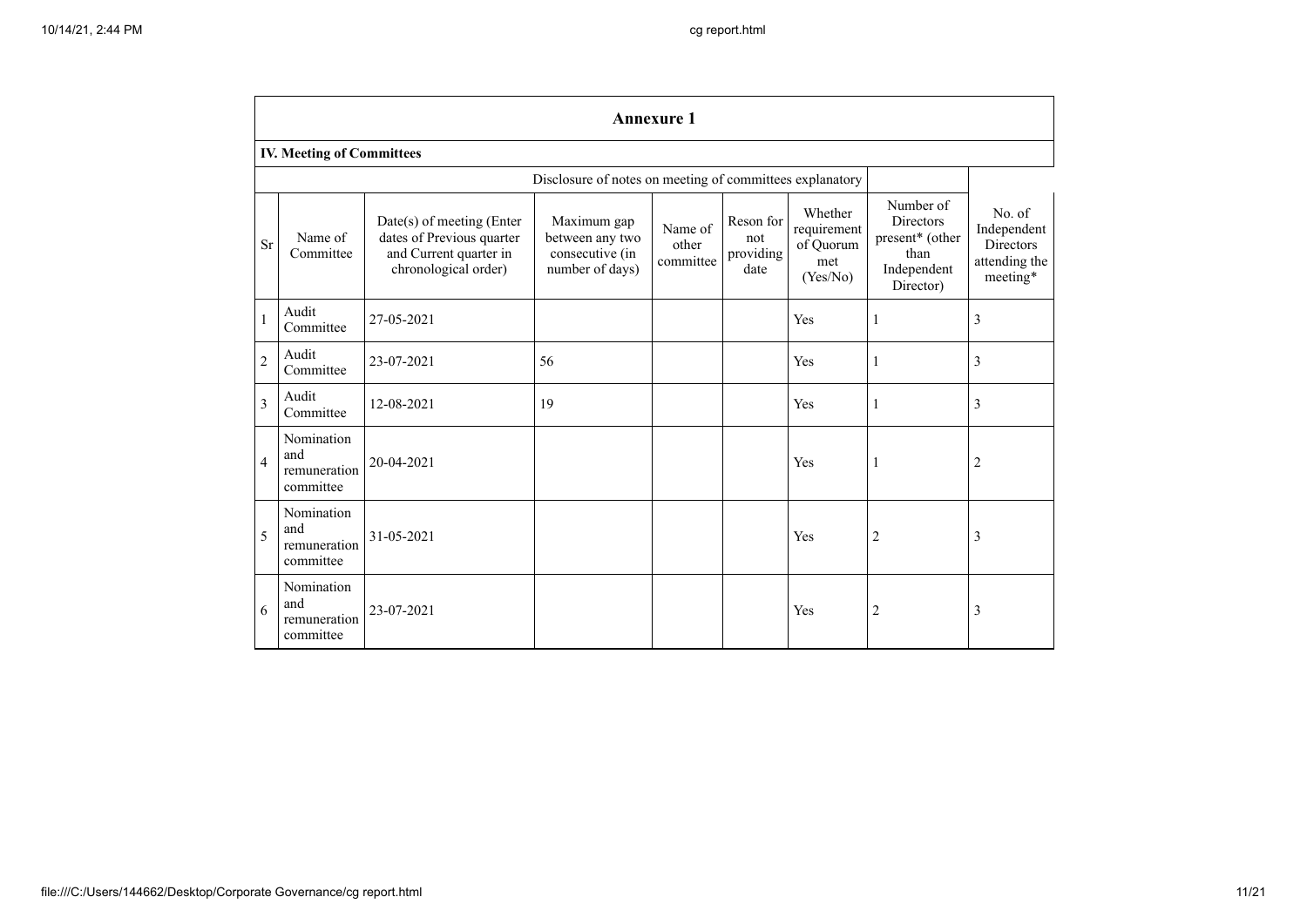|                | <b>Annexure 1</b>                              |                                                                                                          |                                                                      |                               |                                       |                                                        |                                                                                      |                                                                        |  |  |  |  |  |
|----------------|------------------------------------------------|----------------------------------------------------------------------------------------------------------|----------------------------------------------------------------------|-------------------------------|---------------------------------------|--------------------------------------------------------|--------------------------------------------------------------------------------------|------------------------------------------------------------------------|--|--|--|--|--|
|                | <b>IV. Meeting of Committees</b>               |                                                                                                          |                                                                      |                               |                                       |                                                        |                                                                                      |                                                                        |  |  |  |  |  |
|                |                                                | Disclosure of notes on meeting of committees explanatory                                                 |                                                                      |                               |                                       |                                                        |                                                                                      |                                                                        |  |  |  |  |  |
| <b>Sr</b>      | Name of<br>Committee                           | Date(s) of meeting (Enter<br>dates of Previous quarter<br>and Current quarter in<br>chronological order) | Maximum gap<br>between any two<br>consecutive (in<br>number of days) | Name of<br>other<br>committee | Reson for<br>not<br>providing<br>date | Whether<br>requirement<br>of Quorum<br>met<br>(Yes/No) | Number of<br><b>Directors</b><br>present* (other<br>than<br>Independent<br>Director) | No. of<br>Independent<br><b>Directors</b><br>attending the<br>meeting* |  |  |  |  |  |
|                | Audit<br>Committee                             | 27-05-2021                                                                                               |                                                                      |                               |                                       | Yes                                                    | 1                                                                                    | 3                                                                      |  |  |  |  |  |
| $\overline{2}$ | Audit<br>Committee                             | 23-07-2021                                                                                               | 56                                                                   |                               |                                       | Yes                                                    | $\mathbf{1}$                                                                         | 3                                                                      |  |  |  |  |  |
| 3              | Audit<br>Committee                             | 12-08-2021                                                                                               | 19                                                                   |                               |                                       | Yes                                                    | $\mathbf{1}$                                                                         | 3                                                                      |  |  |  |  |  |
| $\overline{4}$ | Nomination<br>and<br>remuneration<br>committee | 20-04-2021                                                                                               |                                                                      |                               |                                       | Yes                                                    | 1                                                                                    | $\overline{c}$                                                         |  |  |  |  |  |
| 5              | Nomination<br>and<br>remuneration<br>committee | 31-05-2021                                                                                               |                                                                      |                               |                                       | Yes                                                    | $\overline{c}$                                                                       | 3                                                                      |  |  |  |  |  |
| 6              | Nomination<br>and<br>remuneration<br>committee | 23-07-2021                                                                                               |                                                                      |                               |                                       | Yes                                                    | $\overline{2}$                                                                       | 3                                                                      |  |  |  |  |  |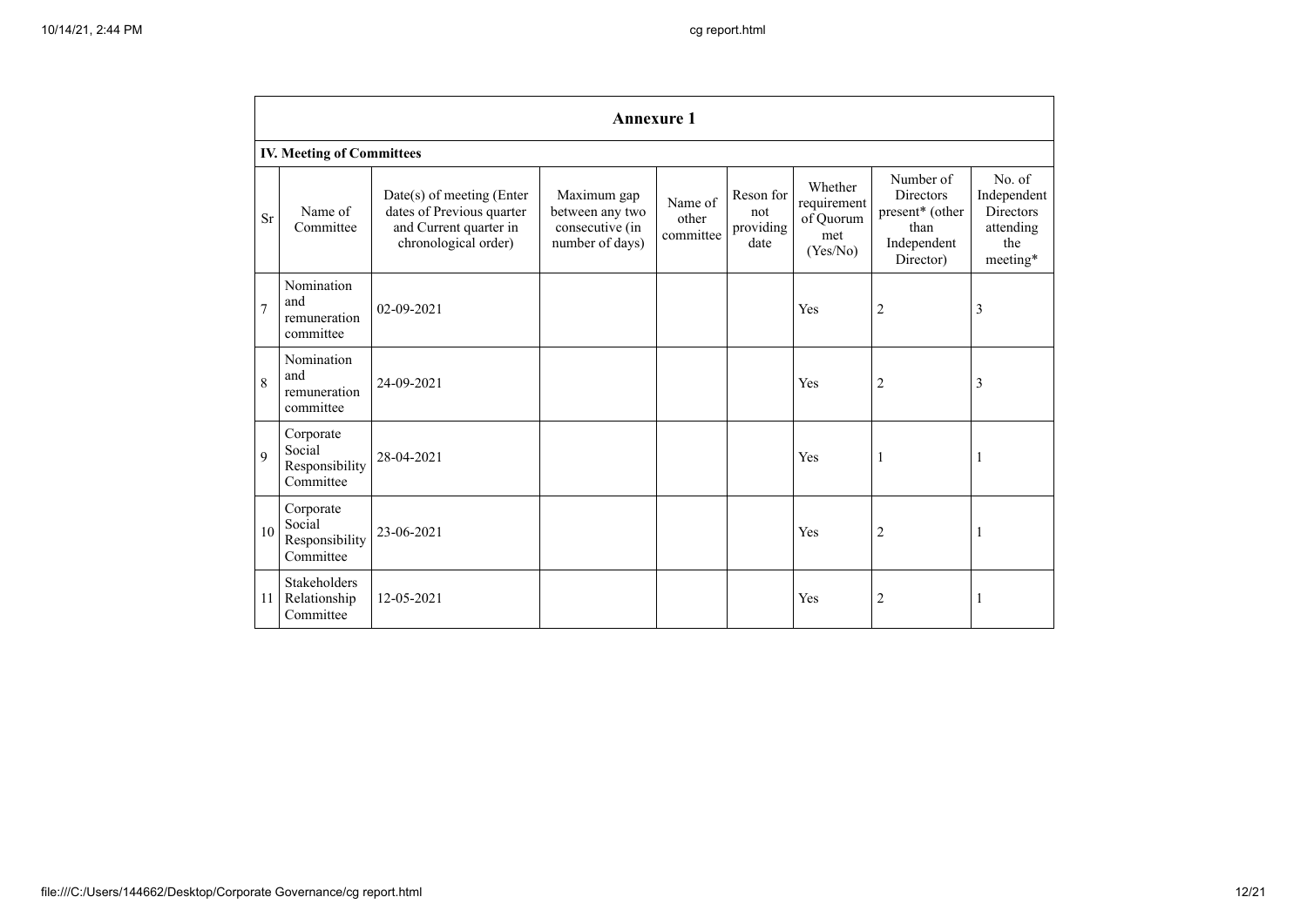|                | <b>Annexure 1</b>                                  |                                                                                                            |                                                                      |                               |                                       |                                                        |                                                                                      |                                                                           |  |  |  |  |  |
|----------------|----------------------------------------------------|------------------------------------------------------------------------------------------------------------|----------------------------------------------------------------------|-------------------------------|---------------------------------------|--------------------------------------------------------|--------------------------------------------------------------------------------------|---------------------------------------------------------------------------|--|--|--|--|--|
|                | <b>IV. Meeting of Committees</b>                   |                                                                                                            |                                                                      |                               |                                       |                                                        |                                                                                      |                                                                           |  |  |  |  |  |
| <b>Sr</b>      | Name of<br>Committee                               | $Date(s)$ of meeting (Enter<br>dates of Previous quarter<br>and Current quarter in<br>chronological order) | Maximum gap<br>between any two<br>consecutive (in<br>number of days) | Name of<br>other<br>committee | Reson for<br>not<br>providing<br>date | Whether<br>requirement<br>of Quorum<br>met<br>(Yes/No) | Number of<br><b>Directors</b><br>present* (other<br>than<br>Independent<br>Director) | No. of<br>Independent<br><b>Directors</b><br>attending<br>the<br>meeting* |  |  |  |  |  |
| $\overline{7}$ | Nomination<br>and<br>remuneration<br>committee     | $02 - 09 - 2021$                                                                                           |                                                                      |                               |                                       | Yes                                                    | $\overline{c}$                                                                       | 3                                                                         |  |  |  |  |  |
| 8              | Nomination<br>and<br>remuneration<br>committee     | 24-09-2021                                                                                                 |                                                                      |                               |                                       | Yes                                                    | $\overline{2}$                                                                       | 3                                                                         |  |  |  |  |  |
| 9              | Corporate<br>Social<br>Responsibility<br>Committee | 28-04-2021                                                                                                 |                                                                      |                               |                                       | Yes                                                    | 1                                                                                    | -1                                                                        |  |  |  |  |  |
| 10             | Corporate<br>Social<br>Responsibility<br>Committee | 23-06-2021                                                                                                 |                                                                      |                               |                                       | Yes                                                    | $\overline{c}$                                                                       |                                                                           |  |  |  |  |  |
| 11             | <b>Stakeholders</b><br>Relationship<br>Committee   | 12-05-2021                                                                                                 |                                                                      |                               |                                       | Yes                                                    | 2                                                                                    |                                                                           |  |  |  |  |  |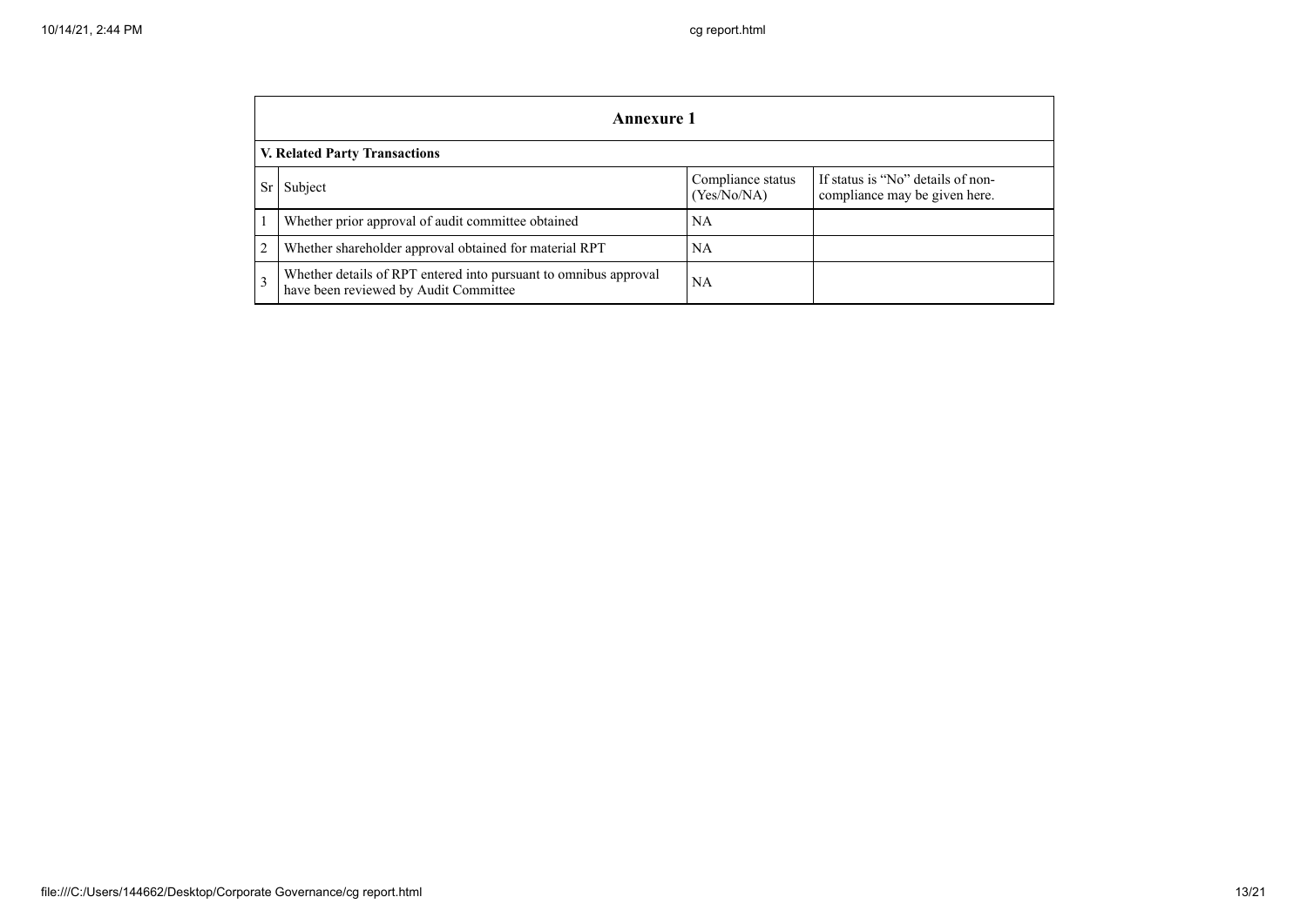|    | <b>Annexure 1</b>                                                                                         |                                  |                                                                    |  |  |
|----|-----------------------------------------------------------------------------------------------------------|----------------------------------|--------------------------------------------------------------------|--|--|
|    | <b>V. Related Party Transactions</b>                                                                      |                                  |                                                                    |  |  |
| Sr | Subject                                                                                                   | Compliance status<br>(Yes/No/NA) | If status is "No" details of non-<br>compliance may be given here. |  |  |
|    | Whether prior approval of audit committee obtained                                                        | NA                               |                                                                    |  |  |
| 2  | Whether shareholder approval obtained for material RPT                                                    | <b>NA</b>                        |                                                                    |  |  |
| 3  | Whether details of RPT entered into pursuant to omnibus approval<br>have been reviewed by Audit Committee | NA.                              |                                                                    |  |  |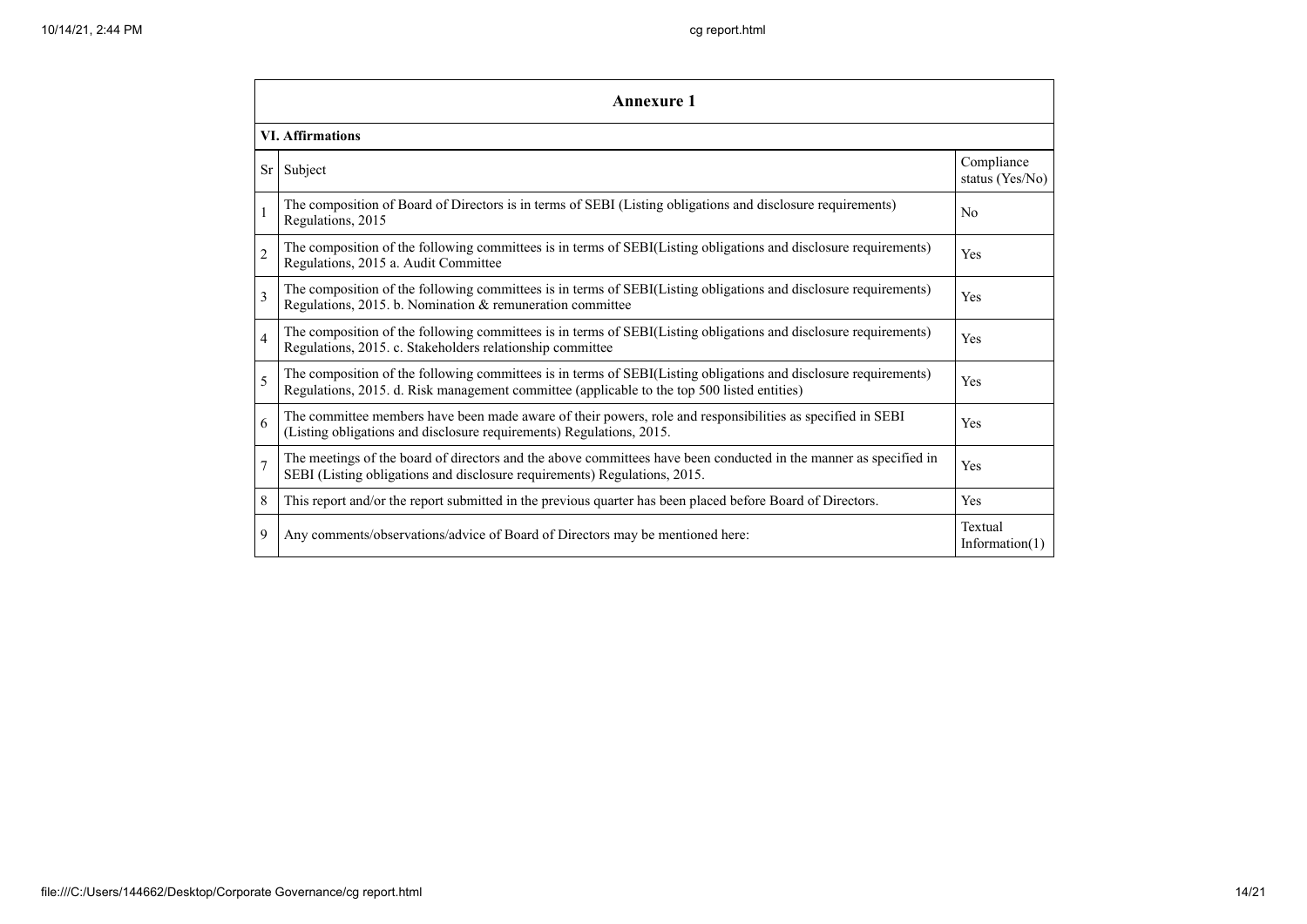|                          | Annexure 1                                                                                                                                                                                                      |                               |  |  |  |
|--------------------------|-----------------------------------------------------------------------------------------------------------------------------------------------------------------------------------------------------------------|-------------------------------|--|--|--|
|                          | <b>VI. Affirmations</b>                                                                                                                                                                                         |                               |  |  |  |
| Sr <sub>1</sub>          | Subject                                                                                                                                                                                                         | Compliance<br>status (Yes/No) |  |  |  |
|                          | The composition of Board of Directors is in terms of SEBI (Listing obligations and disclosure requirements)<br>Regulations, 2015                                                                                | N <sub>0</sub>                |  |  |  |
| $\overline{c}$           | The composition of the following committees is in terms of SEBI(Listing obligations and disclosure requirements)<br>Regulations, 2015 a. Audit Committee                                                        | Yes                           |  |  |  |
| $\overline{\mathcal{E}}$ | The composition of the following committees is in terms of SEBI(Listing obligations and disclosure requirements)<br>Regulations, 2015. b. Nomination & remuneration committee                                   | Yes                           |  |  |  |
| 4                        | The composition of the following committees is in terms of SEBI(Listing obligations and disclosure requirements)<br>Regulations, 2015. c. Stakeholders relationship committee                                   | Yes                           |  |  |  |
| 5                        | The composition of the following committees is in terms of SEBI(Listing obligations and disclosure requirements)<br>Regulations, 2015. d. Risk management committee (applicable to the top 500 listed entities) | Yes                           |  |  |  |
| 6                        | The committee members have been made aware of their powers, role and responsibilities as specified in SEBI<br>(Listing obligations and disclosure requirements) Regulations, 2015.                              | Yes                           |  |  |  |
| $\overline{7}$           | The meetings of the board of directors and the above committees have been conducted in the manner as specified in<br>SEBI (Listing obligations and disclosure requirements) Regulations, 2015.                  | Yes                           |  |  |  |
| 8                        | This report and/or the report submitted in the previous quarter has been placed before Board of Directors.                                                                                                      | Yes                           |  |  |  |
| 9                        | Any comments/observations/advice of Board of Directors may be mentioned here:                                                                                                                                   | Textual<br>Information $(1)$  |  |  |  |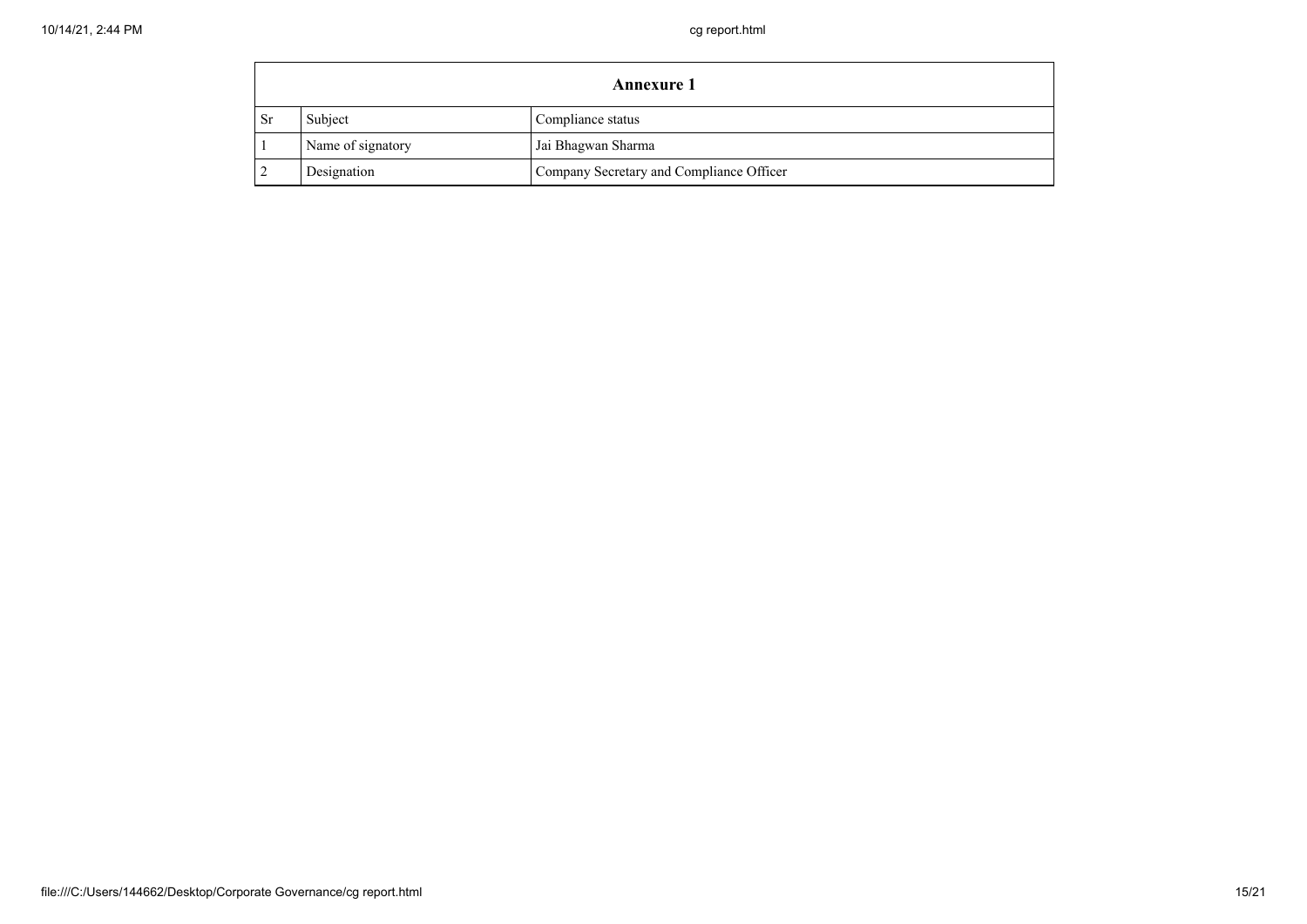| <b>Annexure 1</b> |                   |                                          |
|-------------------|-------------------|------------------------------------------|
| - Sr              | Subject           | Compliance status                        |
|                   | Name of signatory | Jai Bhagwan Sharma                       |
|                   | Designation       | Company Secretary and Compliance Officer |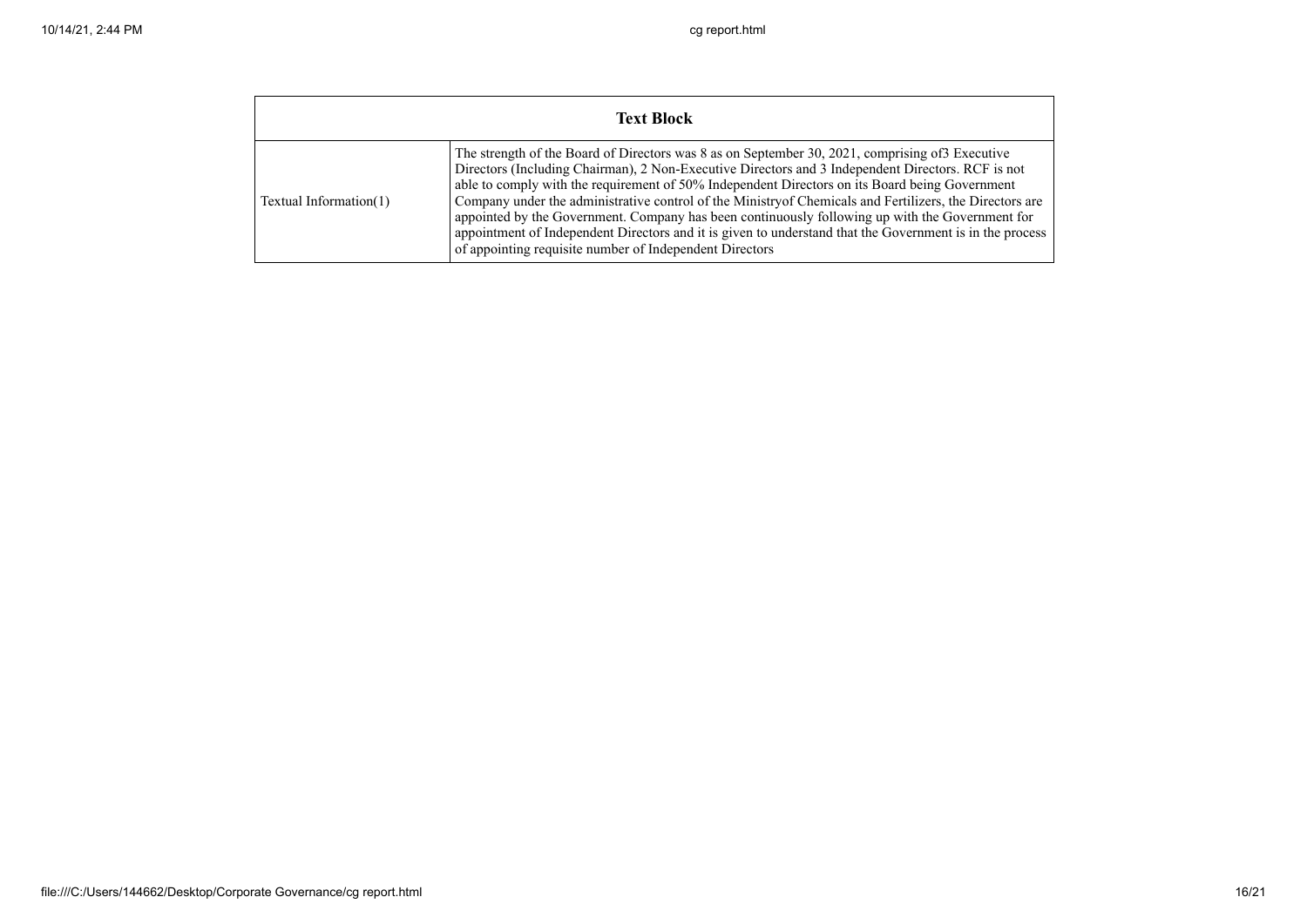| <b>Text Block</b>      |                                                                                                                                                                                                                                                                                                                                                                                                                                                                                                                                                                                                                                                                                               |  |
|------------------------|-----------------------------------------------------------------------------------------------------------------------------------------------------------------------------------------------------------------------------------------------------------------------------------------------------------------------------------------------------------------------------------------------------------------------------------------------------------------------------------------------------------------------------------------------------------------------------------------------------------------------------------------------------------------------------------------------|--|
| Textual Information(1) | The strength of the Board of Directors was 8 as on September 30, 2021, comprising of 3 Executive<br>Directors (Including Chairman), 2 Non-Executive Directors and 3 Independent Directors. RCF is not<br>able to comply with the requirement of 50% Independent Directors on its Board being Government<br>Company under the administrative control of the Ministry of Chemicals and Fertilizers, the Directors are<br>appointed by the Government. Company has been continuously following up with the Government for<br>appointment of Independent Directors and it is given to understand that the Government is in the process<br>of appointing requisite number of Independent Directors |  |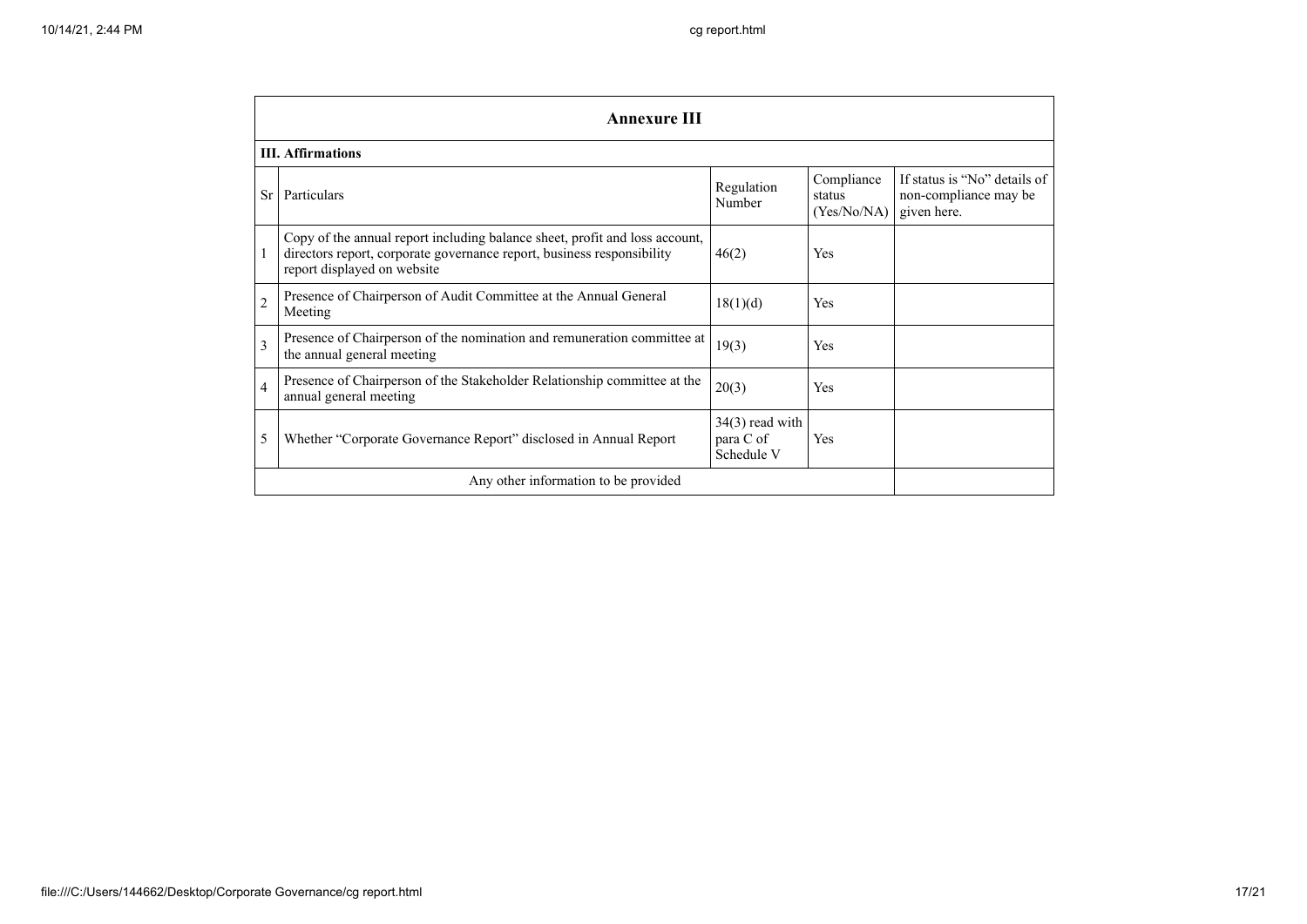|                                      | <b>Annexure III</b>                                                                                                                                                                  |                                              |                                     |                                                                      |  |  |
|--------------------------------------|--------------------------------------------------------------------------------------------------------------------------------------------------------------------------------------|----------------------------------------------|-------------------------------------|----------------------------------------------------------------------|--|--|
|                                      | <b>III.</b> Affirmations                                                                                                                                                             |                                              |                                     |                                                                      |  |  |
| <b>Sr</b>                            | Particulars                                                                                                                                                                          | Regulation<br>Number                         | Compliance<br>status<br>(Yes/No/NA) | If status is "No" details of<br>non-compliance may be<br>given here. |  |  |
|                                      | Copy of the annual report including balance sheet, profit and loss account,<br>directors report, corporate governance report, business responsibility<br>report displayed on website | 46(2)                                        | Yes                                 |                                                                      |  |  |
| $\overline{c}$                       | Presence of Chairperson of Audit Committee at the Annual General<br>Meeting                                                                                                          | 18(1)(d)                                     | Yes                                 |                                                                      |  |  |
| $\overline{3}$                       | Presence of Chairperson of the nomination and remuneration committee at<br>the annual general meeting                                                                                | 19(3)                                        | Yes                                 |                                                                      |  |  |
| $\overline{4}$                       | Presence of Chairperson of the Stakeholder Relationship committee at the<br>annual general meeting                                                                                   | 20(3)                                        | Yes                                 |                                                                      |  |  |
| 5                                    | Whether "Corporate Governance Report" disclosed in Annual Report                                                                                                                     | $34(3)$ read with<br>para C of<br>Schedule V | Yes                                 |                                                                      |  |  |
| Any other information to be provided |                                                                                                                                                                                      |                                              |                                     |                                                                      |  |  |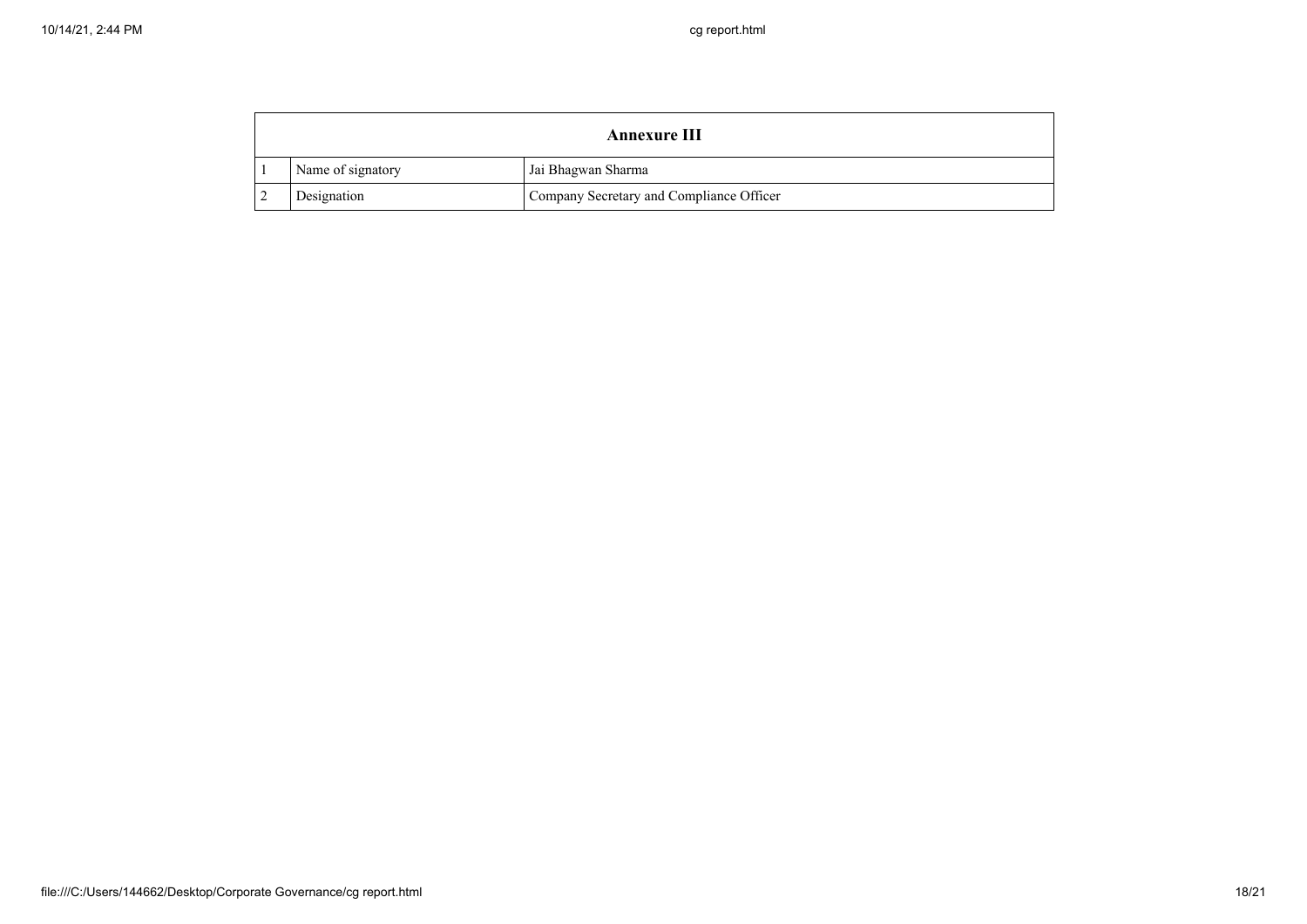| <b>Annexure III</b> |                                          |
|---------------------|------------------------------------------|
| Name of signatory   | Jai Bhagwan Sharma                       |
| Designation         | Company Secretary and Compliance Officer |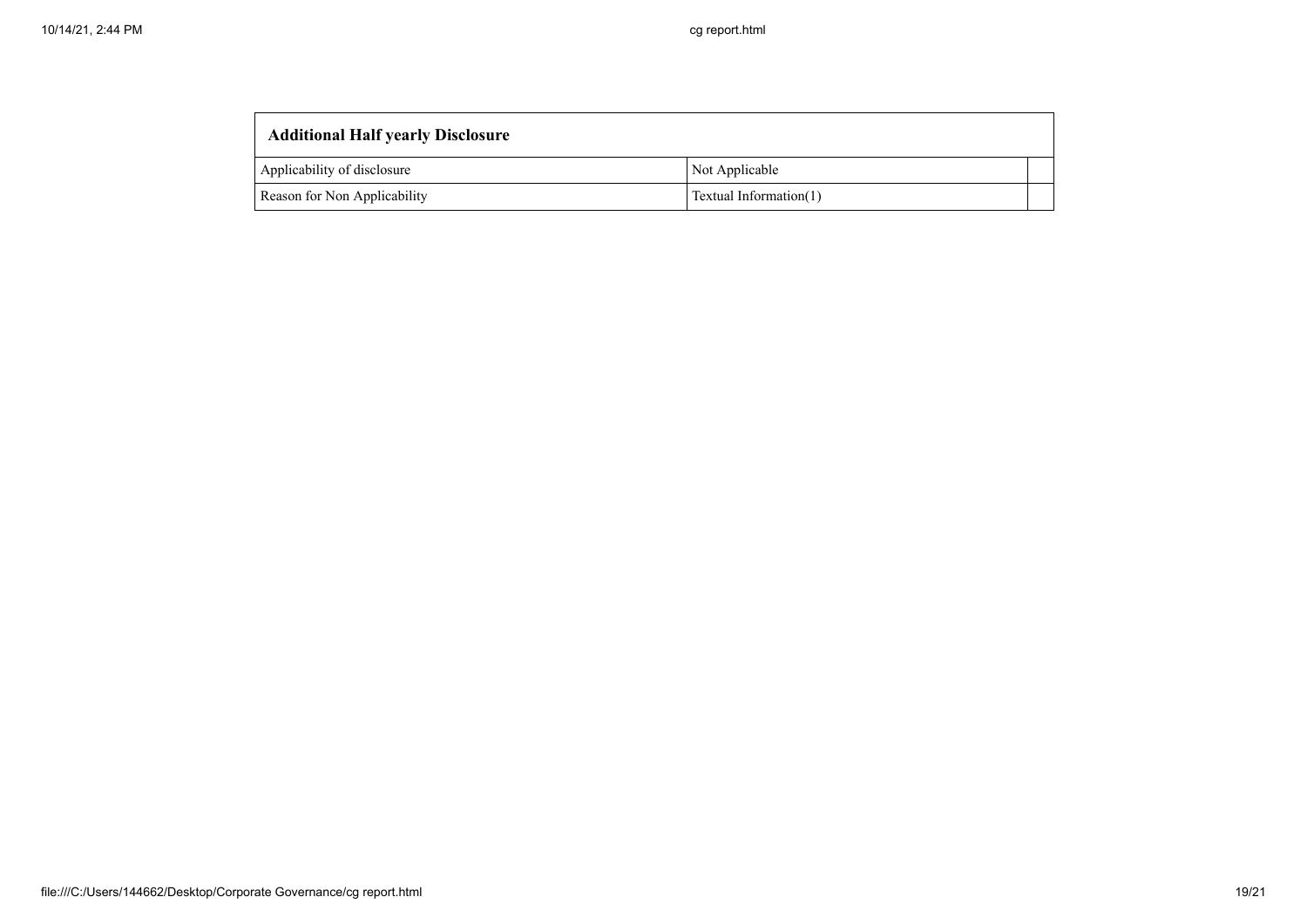| <b>Additional Half yearly Disclosure</b> |                        |  |
|------------------------------------------|------------------------|--|
| Applicability of disclosure              | Not Applicable         |  |
| Reason for Non Applicability             | Textual Information(1) |  |